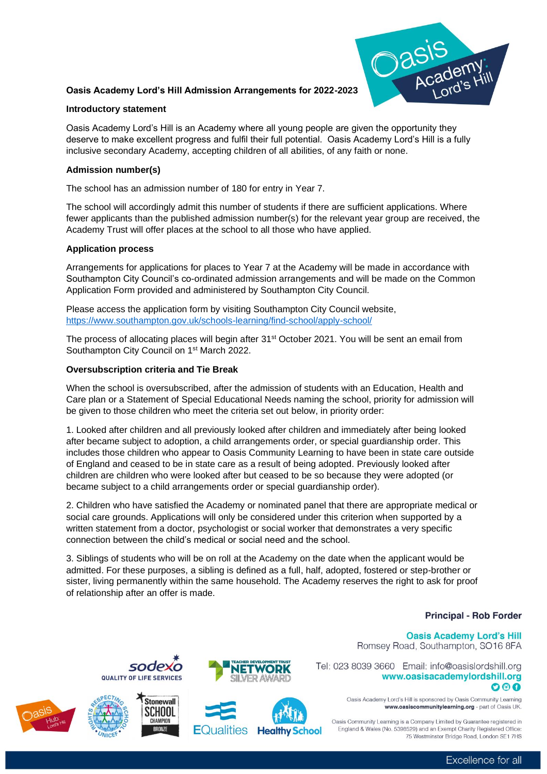# **Oasis Academy Lord's Hill Admission Arrangements for 2022-2023**



## **Introductory statement**

Oasis Academy Lord's Hill is an Academy where all young people are given the opportunity they deserve to make excellent progress and fulfil their full potential. Oasis Academy Lord's Hill is a fully inclusive secondary Academy, accepting children of all abilities, of any faith or none.

# **Admission number(s)**

The school has an admission number of 180 for entry in Year 7.

The school will accordingly admit this number of students if there are sufficient applications. Where fewer applicants than the published admission number(s) for the relevant year group are received, the Academy Trust will offer places at the school to all those who have applied.

## **Application process**

Arrangements for applications for places to Year 7 at the Academy will be made in accordance with Southampton City Council's co-ordinated admission arrangements and will be made on the Common Application Form provided and administered by Southampton City Council.

Please access the application form by visiting Southampton City Council website, <https://www.southampton.gov.uk/schools-learning/find-school/apply-school/>

The process of allocating places will begin after 31<sup>st</sup> October 2021. You will be sent an email from Southampton City Council on 1<sup>st</sup> March 2022.

## **Oversubscription criteria and Tie Break**

When the school is oversubscribed, after the admission of students with an Education, Health and Care plan or a Statement of Special Educational Needs naming the school, priority for admission will be given to those children who meet the criteria set out below, in priority order:

1. Looked after children and all previously looked after children and immediately after being looked after became subject to adoption, a child arrangements order, or special guardianship order. This includes those children who appear to Oasis Community Learning to have been in state care outside of England and ceased to be in state care as a result of being adopted. Previously looked after children are children who were looked after but ceased to be so because they were adopted (or became subject to a child arrangements order or special guardianship order).

2. Children who have satisfied the Academy or nominated panel that there are appropriate medical or social care grounds. Applications will only be considered under this criterion when supported by a written statement from a doctor, psychologist or social worker that demonstrates a very specific connection between the child's medical or social need and the school.

3. Siblings of students who will be on roll at the Academy on the date when the applicant would be admitted. For these purposes, a sibling is defined as a full, half, adopted, fostered or step-brother or sister, living permanently within the same household. The Academy reserves the right to ask for proof of relationship after an offer is made.

# **Principal - Rob Forder**

#### **Oasis Academy Lord's Hill** Romsey Road, Southampton, SO16 8FA

Tel: 023 8039 3660 Email: info@oasislordshill.org



Oasis Academy Lord's Hill is sponsored by Oasis Community Learning www.oasiscommunitylearning.org - part of Oasis UK.

Oasis Community Learning is a Company Limited by Guarantee registered in England & Wales (No. 5398529) and an Exempt Charity Registered Office: 75 Westminster Bridge Road London SE1 7HS











Excellence for all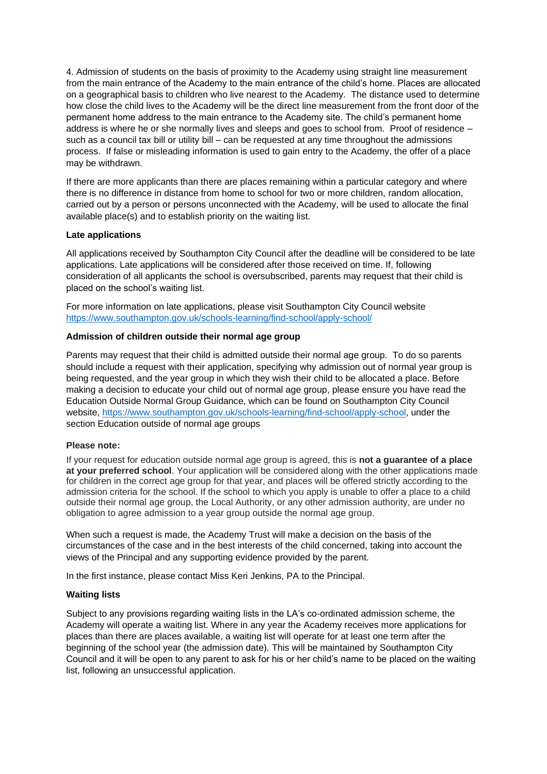4. Admission of students on the basis of proximity to the Academy using straight line measurement from the main entrance of the Academy to the main entrance of the child's home. Places are allocated on a geographical basis to children who live nearest to the Academy. The distance used to determine how close the child lives to the Academy will be the direct line measurement from the front door of the permanent home address to the main entrance to the Academy site. The child's permanent home address is where he or she normally lives and sleeps and goes to school from. Proof of residence – such as a council tax bill or utility bill – can be requested at any time throughout the admissions process. If false or misleading information is used to gain entry to the Academy, the offer of a place may be withdrawn.

If there are more applicants than there are places remaining within a particular category and where there is no difference in distance from home to school for two or more children, random allocation, carried out by a person or persons unconnected with the Academy, will be used to allocate the final available place(s) and to establish priority on the waiting list.

## **Late applications**

All applications received by Southampton City Council after the deadline will be considered to be late applications. Late applications will be considered after those received on time. If, following consideration of all applicants the school is oversubscribed, parents may request that their child is placed on the school's waiting list.

For more information on late applications, please visit Southampton City Council website <https://www.southampton.gov.uk/schools-learning/find-school/apply-school/>

# **Admission of children outside their normal age group**

Parents may request that their child is admitted outside their normal age group. To do so parents should include a request with their application, specifying why admission out of normal year group is being requested, and the year group in which they wish their child to be allocated a place. Before making a decision to educate your child out of normal age group, please ensure you have read the Education Outside Normal Group Guidance, which can be found on Southampton City Council website, [https://www.southampton.gov.uk/schools-learning/find-school/apply-school,](https://www.southampton.gov.uk/schools-learning/find-school/apply-school) under the section Education outside of normal age groups

#### **Please note:**

If your request for education outside normal age group is agreed, this is **not a guarantee of a place at your preferred school**. Your application will be considered along with the other applications made for children in the correct age group for that year, and places will be offered strictly according to the admission criteria for the school. If the school to which you apply is unable to offer a place to a child outside their normal age group, the Local Authority, or any other admission authority, are under no obligation to agree admission to a year group outside the normal age group.

When such a request is made, the Academy Trust will make a decision on the basis of the circumstances of the case and in the best interests of the child concerned, taking into account the views of the Principal and any supporting evidence provided by the parent.

In the first instance, please contact Miss Keri Jenkins, PA to the Principal.

#### **Waiting lists**

Subject to any provisions regarding waiting lists in the LA's co-ordinated admission scheme, the Academy will operate a waiting list. Where in any year the Academy receives more applications for places than there are places available, a waiting list will operate for at least one term after the beginning of the school year (the admission date). This will be maintained by Southampton City Council and it will be open to any parent to ask for his or her child's name to be placed on the waiting list, following an unsuccessful application.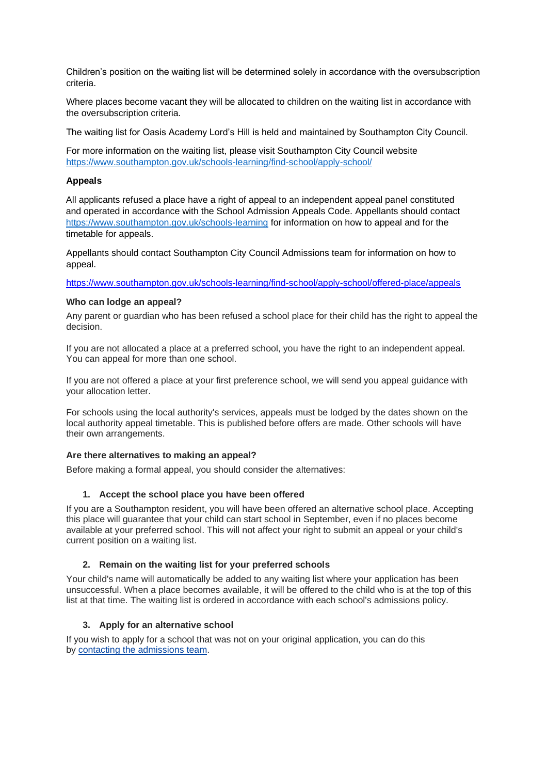Children's position on the waiting list will be determined solely in accordance with the oversubscription criteria.

Where places become vacant they will be allocated to children on the waiting list in accordance with the oversubscription criteria.

The waiting list for Oasis Academy Lord's Hill is held and maintained by Southampton City Council.

For more information on the waiting list, please visit Southampton City Council website <https://www.southampton.gov.uk/schools-learning/find-school/apply-school/>

## **Appeals**

All applicants refused a place have a right of appeal to an independent appeal panel constituted and operated in accordance with the School Admission Appeals Code. Appellants should contact <https://www.southampton.gov.uk/schools-learning> for information on how to appeal and for the timetable for appeals.

Appellants should contact Southampton City Council Admissions team for information on how to appeal.

<https://www.southampton.gov.uk/schools-learning/find-school/apply-school/offered-place/appeals>

## **Who can lodge an appeal?**

Any parent or guardian who has been refused a school place for their child has the right to appeal the decision.

If you are not allocated a place at a preferred school, you have the right to an independent appeal. You can appeal for more than one school.

If you are not offered a place at your first preference school, we will send you appeal guidance with your allocation letter.

For schools using the local authority's services, appeals must be lodged by the dates shown on the local authority appeal timetable. This is published before offers are made. Other schools will have their own arrangements.

# **Are there alternatives to making an appeal?**

Before making a formal appeal, you should consider the alternatives:

# **1. Accept the school place you have been offered**

If you are a Southampton resident, you will have been offered an alternative school place. Accepting this place will guarantee that your child can start school in September, even if no places become available at your preferred school. This will not affect your right to submit an appeal or your child's current position on a waiting list.

# **2. Remain on the waiting list for your preferred schools**

Your child's name will automatically be added to any waiting list where your application has been unsuccessful. When a place becomes available, it will be offered to the child who is at the top of this list at that time. The waiting list is ordered in accordance with each school's admissions policy.

# **3. Apply for an alternative school**

If you wish to apply for a school that was not on your original application, you can do this by [contacting the admissions team.](https://www.southampton.gov.uk/schools-learning/find-school/apply-school/default.aspx)